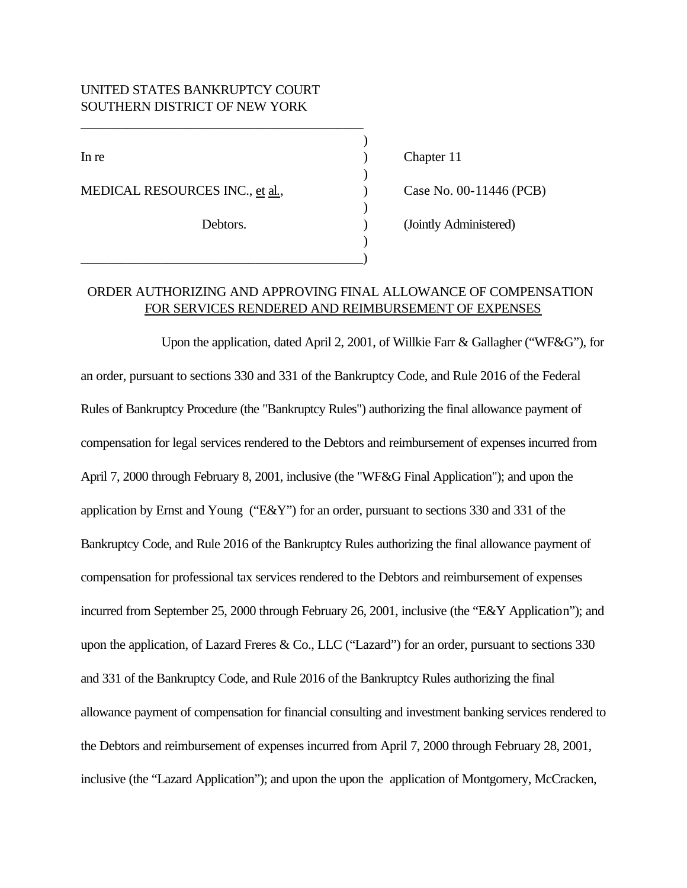## UNITED STATES BANKRUPTCY COURT SOUTHERN DISTRICT OF NEW YORK

MEDICAL RESOURCES INC., et al.,  $\qquad \qquad$  (PCB)

\_\_\_\_\_\_\_\_\_\_\_\_\_\_\_\_\_\_\_\_\_\_\_\_\_\_\_\_\_\_\_\_\_\_\_\_\_\_\_\_\_\_)

\_\_\_\_\_\_\_\_\_\_\_\_\_\_\_\_\_\_\_\_\_\_\_\_\_\_\_\_\_\_\_\_\_\_\_\_\_\_\_\_\_\_

In re a contract of the contract of the chapter 11 chapter 11

Debtors. (Jointly Administered)

## ORDER AUTHORIZING AND APPROVING FINAL ALLOWANCE OF COMPENSATION FOR SERVICES RENDERED AND REIMBURSEMENT OF EXPENSES

)

)

)

)

Upon the application, dated April 2, 2001, of Willkie Farr & Gallagher ("WF&G"), for an order, pursuant to sections 330 and 331 of the Bankruptcy Code, and Rule 2016 of the Federal Rules of Bankruptcy Procedure (the "Bankruptcy Rules") authorizing the final allowance payment of compensation for legal services rendered to the Debtors and reimbursement of expenses incurred from April 7, 2000 through February 8, 2001, inclusive (the "WF&G Final Application"); and upon the application by Ernst and Young ("E&Y") for an order, pursuant to sections 330 and 331 of the Bankruptcy Code, and Rule 2016 of the Bankruptcy Rules authorizing the final allowance payment of compensation for professional tax services rendered to the Debtors and reimbursement of expenses incurred from September 25, 2000 through February 26, 2001, inclusive (the "E&Y Application"); and upon the application, of Lazard Freres & Co., LLC ("Lazard") for an order, pursuant to sections 330 and 331 of the Bankruptcy Code, and Rule 2016 of the Bankruptcy Rules authorizing the final allowance payment of compensation for financial consulting and investment banking services rendered to the Debtors and reimbursement of expenses incurred from April 7, 2000 through February 28, 2001, inclusive (the "Lazard Application"); and upon the upon the application of Montgomery, McCracken,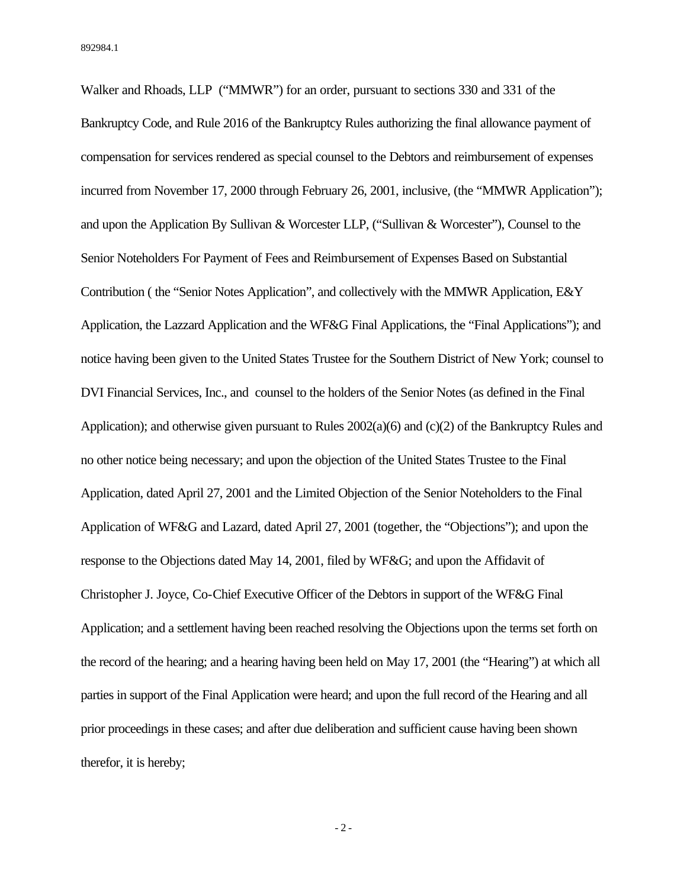Walker and Rhoads, LLP ("MMWR") for an order, pursuant to sections 330 and 331 of the Bankruptcy Code, and Rule 2016 of the Bankruptcy Rules authorizing the final allowance payment of compensation for services rendered as special counsel to the Debtors and reimbursement of expenses incurred from November 17, 2000 through February 26, 2001, inclusive, (the "MMWR Application"); and upon the Application By Sullivan & Worcester LLP, ("Sullivan & Worcester"), Counsel to the Senior Noteholders For Payment of Fees and Reimbursement of Expenses Based on Substantial Contribution ( the "Senior Notes Application", and collectively with the MMWR Application, E&Y Application, the Lazzard Application and the WF&G Final Applications, the "Final Applications"); and notice having been given to the United States Trustee for the Southern District of New York; counsel to DVI Financial Services, Inc., and counsel to the holders of the Senior Notes (as defined in the Final Application); and otherwise given pursuant to Rules 2002(a)(6) and (c)(2) of the Bankruptcy Rules and no other notice being necessary; and upon the objection of the United States Trustee to the Final Application, dated April 27, 2001 and the Limited Objection of the Senior Noteholders to the Final Application of WF&G and Lazard, dated April 27, 2001 (together, the "Objections"); and upon the response to the Objections dated May 14, 2001, filed by WF&G; and upon the Affidavit of Christopher J. Joyce, Co-Chief Executive Officer of the Debtors in support of the WF&G Final Application; and a settlement having been reached resolving the Objections upon the terms set forth on the record of the hearing; and a hearing having been held on May 17, 2001 (the "Hearing") at which all parties in support of the Final Application were heard; and upon the full record of the Hearing and all prior proceedings in these cases; and after due deliberation and sufficient cause having been shown therefor, it is hereby;

- 2 -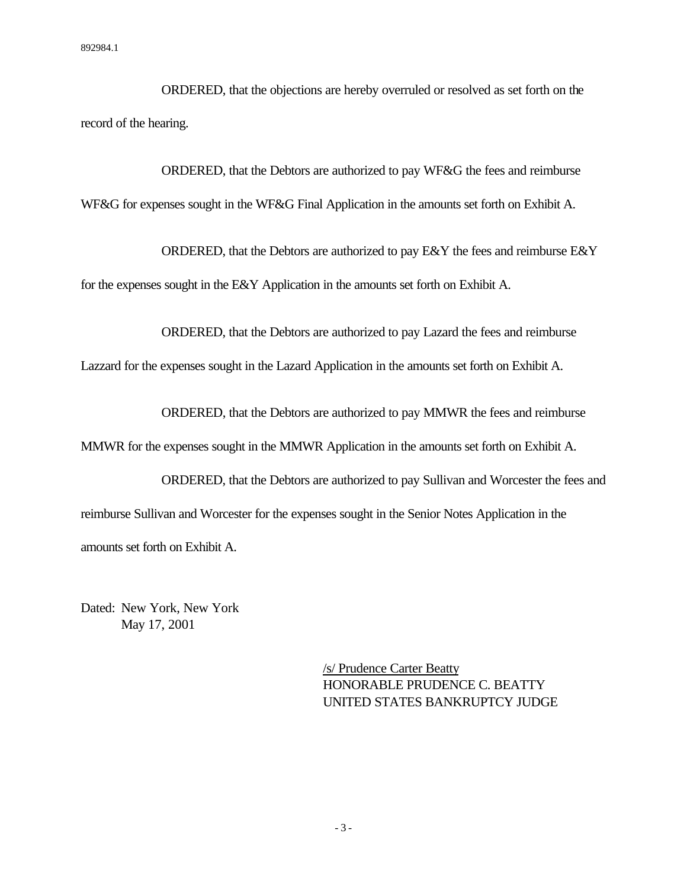ORDERED, that the objections are hereby overruled or resolved as set forth on the record of the hearing.

ORDERED, that the Debtors are authorized to pay WF&G the fees and reimburse WF&G for expenses sought in the WF&G Final Application in the amounts set forth on Exhibit A.

ORDERED, that the Debtors are authorized to pay E&Y the fees and reimburse E&Y for the expenses sought in the E&Y Application in the amounts set forth on Exhibit A.

ORDERED, that the Debtors are authorized to pay Lazard the fees and reimburse

Lazzard for the expenses sought in the Lazard Application in the amounts set forth on Exhibit A.

ORDERED, that the Debtors are authorized to pay MMWR the fees and reimburse

MMWR for the expenses sought in the MMWR Application in the amounts set forth on Exhibit A.

ORDERED, that the Debtors are authorized to pay Sullivan and Worcester the fees and reimburse Sullivan and Worcester for the expenses sought in the Senior Notes Application in the amounts set forth on Exhibit A.

Dated: New York, New York May 17, 2001

> /s/ Prudence Carter Beatty HONORABLE PRUDENCE C. BEATTY UNITED STATES BANKRUPTCY JUDGE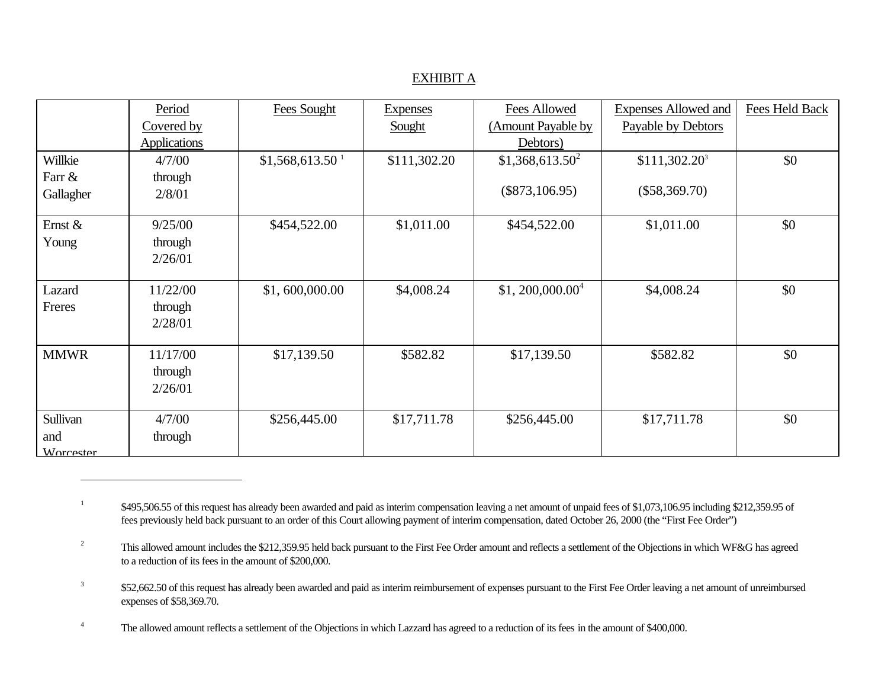## EXHIBIT A

|             | Period              | Fees Sought                 | <b>Expenses</b> | Fees Allowed       | <b>Expenses Allowed and</b> | Fees Held Back |
|-------------|---------------------|-----------------------------|-----------------|--------------------|-----------------------------|----------------|
|             | Covered by          |                             | Sought          | (Amount Payable by | Payable by Debtors          |                |
|             | <b>Applications</b> |                             |                 | Debtors)           |                             |                |
| Willkie     | 4/7/00              | \$1,568,613.50 <sup>1</sup> | \$111,302.20    | $$1,368,613.50^2$  | $$111,302.20^3$             | \$0            |
| Farr &      | through             |                             |                 |                    |                             |                |
| Gallagher   | 2/8/01              |                             |                 | $(\$873,106.95)$   | $(\$58,369.70)$             |                |
|             |                     |                             |                 |                    |                             |                |
| Ernst &     | 9/25/00             | \$454,522.00                | \$1,011.00      | \$454,522.00       | \$1,011.00                  | \$0            |
| Young       | through             |                             |                 |                    |                             |                |
|             | 2/26/01             |                             |                 |                    |                             |                |
| Lazard      | 11/22/00            | \$1,600,000.00              | \$4,008.24      | $$1, 200,000.00^4$ | \$4,008.24                  | \$0            |
| Freres      |                     |                             |                 |                    |                             |                |
|             | through<br>2/28/01  |                             |                 |                    |                             |                |
|             |                     |                             |                 |                    |                             |                |
| <b>MMWR</b> | 11/17/00            | \$17,139.50                 | \$582.82        | \$17,139.50        | \$582.82                    | \$0            |
|             | through             |                             |                 |                    |                             |                |
|             | 2/26/01             |                             |                 |                    |                             |                |
|             |                     |                             |                 |                    |                             |                |
| Sullivan    | 4/7/00              | \$256,445.00                | \$17,711.78     | \$256,445.00       | \$17,711.78                 | \$0            |
| and         | through             |                             |                 |                    |                             |                |
| Worcester   |                     |                             |                 |                    |                             |                |

 $\overline{a}$ 

<sup>1</sup> \$495,506.55 of this request has already been awarded and paid as interim compensation leaving a net amount of unpaid fees of \$1,073,106.95 including \$212,359.95 of fees previously held back pursuant to an order of this Court allowing payment of interim compensation, dated October 26, 2000 (the "First Fee Order")

<sup>2</sup> This allowed amount includes the \$212,359.95 held back pursuant to the First Fee Order amount and reflects a settlement of the Objections in which WF&G has agreed to a reduction of its fees in the amount of \$200,000.

<sup>3</sup> \$52,662.50 of this request has already been awarded and paid as interim reimbursement of expenses pursuant to the First Fee Order leaving a net amount of unreimbursed expenses of \$58,369.70.

<sup>4</sup> The allowed amount reflects a settlement of the Objections in which Lazzard has agreed to a reduction of its fees in the amount of \$400,000.